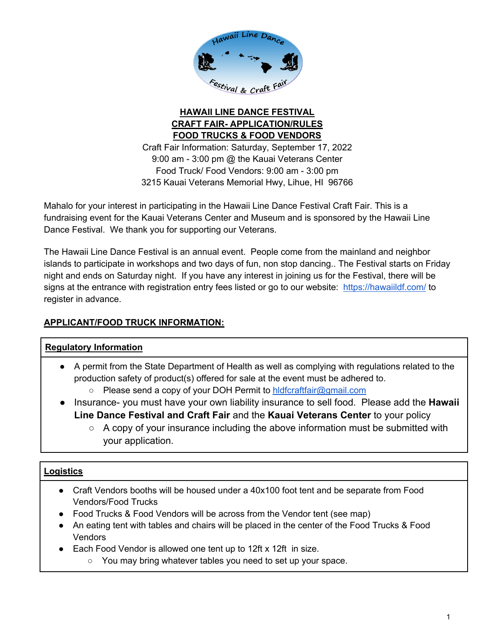

# **HAWAII LINE DANCE FESTIVAL CRAFT FAIR- APPLICATION/RULES FOOD TRUCKS & FOOD VENDORS**

Craft Fair Information: Saturday, September 17, 2022 9:00 am - 3:00 pm @ the Kauai Veterans Center Food Truck/ Food Vendors: 9:00 am - 3:00 pm 3215 Kauai Veterans Memorial Hwy, Lihue, HI 96766

Mahalo for your interest in participating in the Hawaii Line Dance Festival Craft Fair. This is a fundraising event for the Kauai Veterans Center and Museum and is sponsored by the Hawaii Line Dance Festival. We thank you for supporting our Veterans.

The Hawaii Line Dance Festival is an annual event. People come from the mainland and neighbor islands to participate in workshops and two days of fun, non stop dancing.. The Festival starts on Friday night and ends on Saturday night. If you have any interest in joining us for the Festival, there will be signs at the entrance with registration entry fees listed or go to our website: https://hawaiildf.com/ to register in advance.

# **APPLICANT/FOOD TRUCK INFORMATION:**

# **Regulatory Information**

- A permit from the State Department of Health as well as complying with regulations related to the production safety of product(s) offered for sale at the event must be adhered to.
	- Please send a copy of your DOH Permit to hldfcraftfair@gmail.com
- Insurance- you must have your own liability insurance to sell food. Please add the **Hawaii Line Dance Festival and Craft Fair** and the **Kauai Veterans Center** to your policy
	- $\circ$  A copy of your insurance including the above information must be submitted with your application.

# **Logistics**

- Craft Vendors booths will be housed under a 40x100 foot tent and be separate from Food Vendors/Food Trucks
- Food Trucks & Food Vendors will be across from the Vendor tent (see map)
- An eating tent with tables and chairs will be placed in the center of the Food Trucks & Food **Vendors**
- Each Food Vendor is allowed one tent up to 12ft x 12ft in size.
	- You may bring whatever tables you need to set up your space.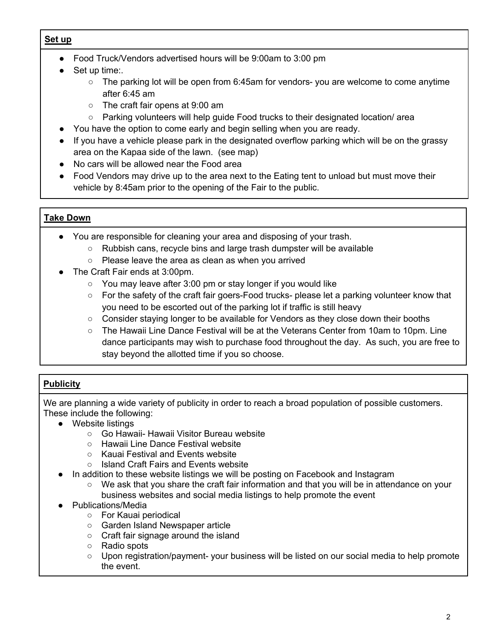#### **Set up**

- Food Truck/Vendors advertised hours will be 9:00am to 3:00 pm
- Set up time:.
	- $\circ$  The parking lot will be open from 6:45am for vendors- you are welcome to come anytime after 6:45 am
	- The craft fair opens at 9:00 am
	- Parking volunteers will help guide Food trucks to their designated location/ area
- You have the option to come early and begin selling when you are ready.
- If you have a vehicle please park in the designated overflow parking which will be on the grassy area on the Kapaa side of the lawn. (see map)
- No cars will be allowed near the Food area
- Food Vendors may drive up to the area next to the Eating tent to unload but must move their vehicle by 8:45am prior to the opening of the Fair to the public.

## **Take Down**

- You are responsible for cleaning your area and disposing of your trash.
	- Rubbish cans, recycle bins and large trash dumpster will be available
	- Please leave the area as clean as when you arrived
- The Craft Fair ends at 3:00pm.
	- You may leave after 3:00 pm or stay longer if you would like
	- For the safety of the craft fair goers-Food trucks- please let a parking volunteer know that you need to be escorted out of the parking lot if traffic is still heavy
	- Consider staying longer to be available for Vendors as they close down their booths
	- The Hawaii Line Dance Festival will be at the Veterans Center from 10am to 10pm. Line dance participants may wish to purchase food throughout the day. As such, you are free to stay beyond the allotted time if you so choose.

# **Publicity**

We are planning a wide variety of publicity in order to reach a broad population of possible customers. These include the following:

- Website listings
	- Go Hawaii- Hawaii Visitor Bureau website
	- Hawaii Line Dance Festival website
	- Kauai Festival and Events website
	- Island Craft Fairs and Events website
- In addition to these website listings we will be posting on Facebook and Instagram
	- We ask that you share the craft fair information and that you will be in attendance on your business websites and social media listings to help promote the event
- Publications/Media
	- For Kauai periodical
	- Garden Island Newspaper article
	- Craft fair signage around the island
	- Radio spots
	- Upon registration/payment- your business will be listed on our social media to help promote the event.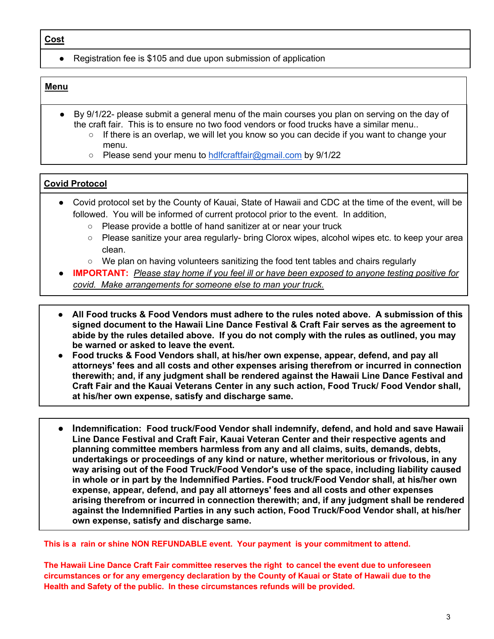● Registration fee is \$105 and due upon submission of application

#### **Menu**

- $\bullet$  By 9/1/22- please submit a general menu of the main courses you plan on serving on the day of the craft fair. This is to ensure no two food vendors or food trucks have a similar menu..
	- If there is an overlap, we will let you know so you can decide if you want to change your menu.
	- Please send your menu to hdlfcraftfair@gmail.com by 9/1/22

#### **Covid Protocol**

- Covid protocol set by the County of Kauai, State of Hawaii and CDC at the time of the event, will be followed. You will be informed of current protocol prior to the event. In addition,
	- Please provide a bottle of hand sanitizer at or near your truck
	- Please sanitize your area regularly- bring Clorox wipes, alcohol wipes etc. to keep your area clean.
	- We plan on having volunteers sanitizing the food tent tables and chairs regularly
- **IMPORTANT:** *Please stay home if you feel ill or have been exposed to anyone testing positive for covid. Make arrangements for someone else to man your truck.*
- **All Food trucks & Food Vendors must adhere to the rules noted above. A submission of this signed document to the Hawaii Line Dance Festival & Craft Fair serves as the agreement to abide by the rules detailed above. If you do not comply with the rules as outlined, you may be warned or asked to leave the event.**
- **Food trucks & Food Vendors shall, at his/her own expense, appear, defend, and pay all attorneys' fees and all costs and other expenses arising therefrom or incurred in connection therewith; and, if any judgment shall be rendered against the Hawaii Line Dance Festival and Craft Fair and the Kauai Veterans Center in any such action, Food Truck/ Food Vendor shall, at his/her own expense, satisfy and discharge same.**
- **Indemnification: Food truck/Food Vendor shall indemnify, defend, and hold and save Hawaii Line Dance Festival and Craft Fair, Kauai Veteran Center and their respective agents and planning committee members harmless from any and all claims, suits, demands, debts, undertakings or proceedings of any kind or nature, whether meritorious or frivolous, in any way arising out of the Food Truck/Food Vendor's use of the space, including liability caused in whole or in part by the Indemnified Parties. Food truck/Food Vendor shall, at his/her own expense, appear, defend, and pay all attorneys' fees and all costs and other expenses arising therefrom or incurred in connection therewith; and, if any judgment shall be rendered against the Indemnified Parties in any such action, Food Truck/Food Vendor shall, at his/her own expense, satisfy and discharge same.**

**This is a rain or shine NON REFUNDABLE event. Your payment is your commitment to attend.** 

**The Hawaii Line Dance Craft Fair committee reserves the right to cancel the event due to unforeseen circumstances or for any emergency declaration by the County of Kauai or State of Hawaii due to the Health and Safety of the public. In these circumstances refunds will be provided.**